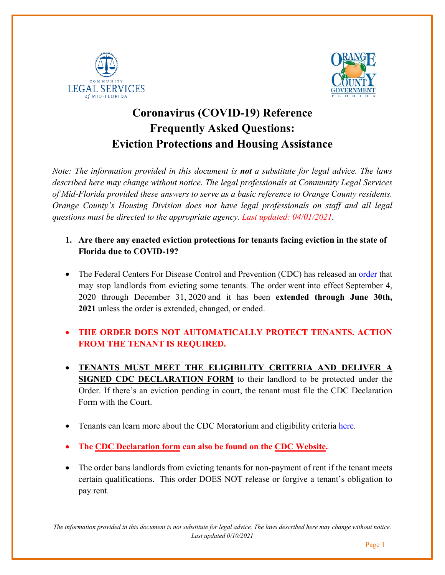



# **Coronavirus (COVID-19) Reference Frequently Asked Questions: Eviction Protections and Housing Assistance**

*Note: The information provided in this document is not a substitute for legal advice. The laws described here may change without notice. The legal professionals at Community Legal Services of Mid-Florida provided these answers to serve as a basic reference to Orange County residents. Orange County's Housing Division does not have legal professionals on staff and all legal questions must be directed to the appropriate agency. Last updated: 04/01/2021.* 

- **1. Are there any enacted eviction protections for tenants facing eviction in the state of Florida due to COVID-19?**
- The Federal Centers For Disease Control and Prevention (CDC) has released an <u>order</u> that may stop landlords from evicting some tenants. The order went into effect September 4, 2020 through December 31, 2020 and it has been **extended through June 30th, 2021** unless the order is extended, changed, or ended.
- **THE ORDER DOES NOT AUTOMATICALLY PROTECT TENANTS. ACTION FROM THE TENANT IS REQUIRED.**
- **TENANTS MUST MEET THE ELIGIBILITY CRITERIA AND DELIVER A SIGNED CDC DECLARATION FORM** to their landlord to be protected under the Order. If there's an eviction pending in court, the tenant must file the CDC Declaration Form with the Court.
- Tenants can learn more about the CDC Moratorium and eligibility criteria [here.](https://www.clsmf.org/cdc-eviction-moratorium/)
- **The [CDC Declaration form](https://www.clsmf.org/wp-content/uploads/2021/02/EvictionDeclare_d508.pdf) can also be found on the [CDC Website.](https://www.cdc.gov/coronavirus/2019-ncov/covid-eviction-declaration.html)**
- The order bans landlords from evicting tenants for non-payment of rent if the tenant meets certain qualifications. This order DOES NOT release or forgive a tenant's obligation to pay rent.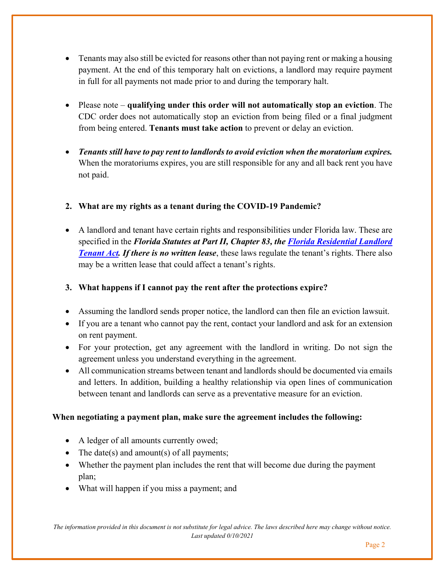- Tenants may also still be evicted for reasons other than not paying rent or making a housing payment. At the end of this temporary halt on evictions, a landlord may require payment in full for all payments not made prior to and during the temporary halt.
- Please note **qualifying under this order will not automatically stop an eviction**. The CDC order does not automatically stop an eviction from being filed or a final judgment from being entered. **Tenants must take action** to prevent or delay an eviction.
- *Tenants still have to pay rent to landlords to avoid eviction when the moratorium expires.*  When the moratoriums expires, you are still responsible for any and all back rent you have not paid.
- **2. What are my rights as a tenant during the COVID-19 Pandemic?**
- A landlord and tenant have certain rights and responsibilities under Florida law. These are specified in the *Florida Statutes at Part II, Chapter 83, the [Florida Residential Landlord](https://www.floridabar.org/public/consumer/tip014/)  [Tenant Act.](https://www.floridabar.org/public/consumer/tip014/) If there is no written lease*, these laws regulate the tenant's rights. There also may be a written lease that could affect a tenant's rights.
- **3. What happens if I cannot pay the rent after the protections expire?**
- Assuming the landlord sends proper notice, the landlord can then file an eviction lawsuit.
- If you are a tenant who cannot pay the rent, contact your landlord and ask for an extension on rent payment.
- For your protection, get any agreement with the landlord in writing. Do not sign the agreement unless you understand everything in the agreement.
- All communication streams between tenant and landlords should be documented via emails and letters. In addition, building a healthy relationship via open lines of communication between tenant and landlords can serve as a preventative measure for an eviction.

#### **When negotiating a payment plan, make sure the agreement includes the following:**

- A ledger of all amounts currently owed;
- The date(s) and amount(s) of all payments;
- Whether the payment plan includes the rent that will become due during the payment plan;
- What will happen if you miss a payment; and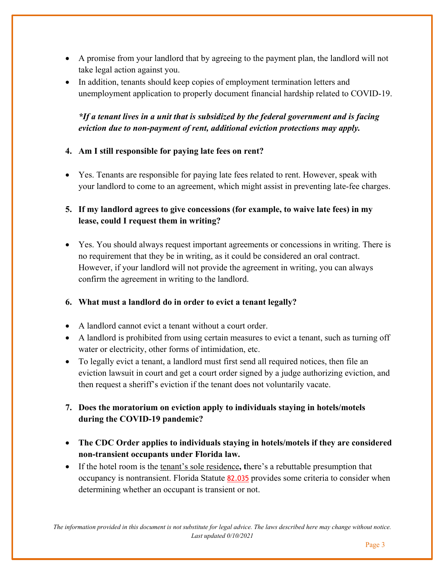- A promise from your landlord that by agreeing to the payment plan, the landlord will not take legal action against you.
- In addition, tenants should keep copies of employment termination letters and unemployment application to properly document financial hardship related to COVID-19.

*\*If a tenant lives in a unit that is subsidized by the federal government and is facing eviction due to non-payment of rent, additional eviction protections may apply.* 

### **4. Am I still responsible for paying late fees on rent?**

• Yes. Tenants are responsible for paying late fees related to rent. However, speak with your landlord to come to an agreement, which might assist in preventing late-fee charges.

# **5. If my landlord agrees to give concessions (for example, to waive late fees) in my lease, could I request them in writing?**

• Yes. You should always request important agreements or concessions in writing. There is no requirement that they be in writing, as it could be considered an oral contract. However, if your landlord will not provide the agreement in writing, you can always confirm the agreement in writing to the landlord.

#### **6. What must a landlord do in order to evict a tenant legally?**

- A landlord cannot evict a tenant without a court order.
- A landlord is prohibited from using certain measures to evict a tenant, such as turning off water or electricity, other forms of intimidation, etc.
- To legally evict a tenant, a landlord must first send all required notices, then file an eviction lawsuit in court and get a court order signed by a judge authorizing eviction, and then request a sheriff's eviction if the tenant does not voluntarily vacate.

# **7. Does the moratorium on eviction apply to individuals staying in hotels/motels during the COVID-19 pandemic?**

- **The CDC Order applies to individuals staying in hotels/motels if they are considered non-transient occupants under Florida law.**
- If the hotel room is the tenant's sole residence**, t**here's a rebuttable presumption that occupancy is nontransient. Florida Statute [82.035](http://www.leg.state.fl.us/statutes/index.cfm?App_mode=Display_Statute&Search_String=&URL=0000-0099/0082/Sections/0082.035.html) provides some criteria to consider when determining whether an occupant is transient or not.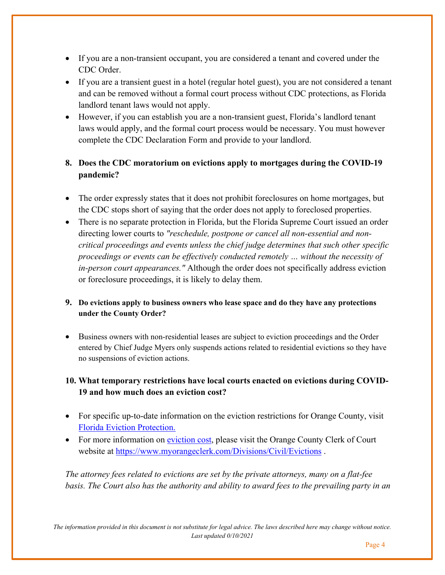- If you are a non-transient occupant, you are considered a tenant and covered under the CDC Order.
- If you are a transient guest in a hotel (regular hotel guest), you are not considered a tenant and can be removed without a formal court process without CDC protections, as Florida landlord tenant laws would not apply.
- However, if you can establish you are a non-transient guest, Florida's landlord tenant laws would apply, and the formal court process would be necessary. You must however complete the CDC Declaration Form and provide to your landlord.

# **8. Does the CDC moratorium on evictions apply to mortgages during the COVID-19 pandemic?**

- The order expressly states that it does not prohibit foreclosures on home mortgages, but the CDC stops short of saying that the order does not apply to foreclosed properties.
- There is no separate protection in Florida, but the Florida Supreme Court issued an order directing lower courts to *"reschedule, postpone or cancel all non-essential and noncritical proceedings and events unless the chief judge determines that such other specific proceedings or events can be effectively conducted remotely … without the necessity of in-person court appearances."* Although the order does not specifically address eviction or foreclosure proceedings, it is likely to delay them.

#### **9. Do evictions apply to business owners who lease space and do they have any protections under the County Order?**

• Business owners with non-residential leases are subject to eviction proceedings and the Order entered by Chief Judge Myers only suspends actions related to residential evictions so they have no suspensions of eviction actions.

## **10. What temporary restrictions have local courts enacted on evictions during COVID-19 and how much does an eviction cost?**

- For specific up-to-date information on the eviction restrictions for Orange County, visit [Florida Eviction Protection.](https://florida.evictionprotection.org/)
- For more information on [eviction cost,](https://www.myorangeclerk.com/Divisions/Civil/Evictions) please visit the Orange County Clerk of Court website at<https://www.myorangeclerk.com/Divisions/Civil/Evictions>.

*The attorney fees related to evictions are set by the private attorneys, many on a flat-fee basis. The Court also has the authority and ability to award fees to the prevailing party in an*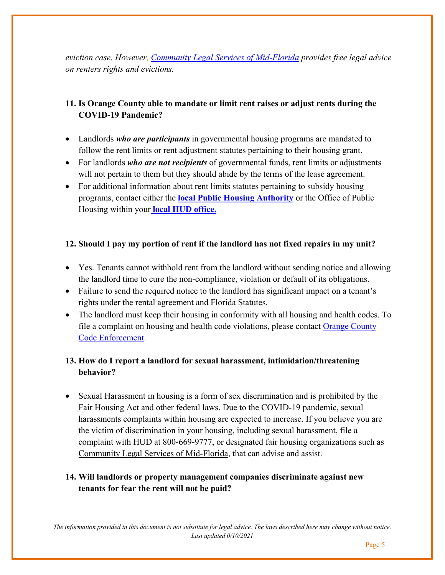*eviction case. However, [Community Legal Services of Mid-Florida](https://www.clsmf.org/renters-rights-evictions/) provides free legal advice on renters rights and evictions.*

# **11. Is Orange County able to mandate or limit rent raises or adjust rents during the COVID-19 Pandemic?**

- Landlords *who are participants* in governmental housing programs are mandated to follow the rent limits or rent adjustment statutes pertaining to their housing grant.
- For landlords *who are not recipients* of governmental funds, rent limits or adjustments will not pertain to them but they should abide by the terms of the lease agreement.
- For additional information about rent limits statutes pertaining to subsidy housing programs, contact either the **[local Public Housing Authority](https://www.hud.gov/program_offices/public_indian_housing/pha/contacts)** or the Office of Public Housing within your **[local HUD office.](https://www.hud.gov/program_offices/field_policy_mgt/localoffices#FL)**

### **12. Should I pay my portion of rent if the landlord has not fixed repairs in my unit?**

- Yes. Tenants cannot withhold rent from the landlord without sending notice and allowing the landlord time to cure the non-compliance, violation or default of its obligations.
- Failure to send the required notice to the landlord has significant impact on a tenant's rights under the rental agreement and Florida Statutes.
- The landlord must keep their housing in conformity with all housing and health codes. To file a complaint on housing and health code violations, please contact [Orange County](http://www.ocfl.net/NeighborsHousing/CodeEnforcement.aspx#.XrGD36hKiUl)  [Code Enforcement.](http://www.ocfl.net/NeighborsHousing/CodeEnforcement.aspx#.XrGD36hKiUl)

## **13. How do I report a landlord for sexual harassment, intimidation/threatening behavior?**

• Sexual Harassment in housing is a form of sex discrimination and is prohibited by the Fair Housing Act and other federal laws. Due to the COVID-19 pandemic, sexual harassments complaints within housing are expected to increase. If you believe you are the victim of discrimination in your housing, including sexual harassment, file a complaint with [HUD](https://www.hud.gov/) at 800-669-9777, or designated fair housing organizations such as [Community Legal Services of Mid-Florida,](https://www.clsmf.org/) that can advise and assist.

## **14. Will landlords or property management companies discriminate against new tenants for fear the rent will not be paid?**